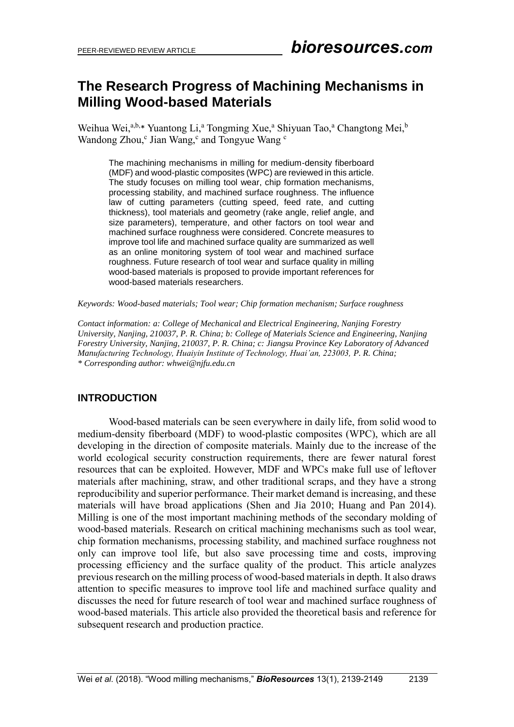## **The Research Progress of Machining Mechanisms in Milling Wood-based Materials**

Weihua Wei,<sup>a,b,\*</sup> Yuantong Li,<sup>a</sup> Tongming Xue,<sup>a</sup> Shiyuan Tao,<sup>a</sup> Changtong Mei,<sup>b</sup> Wandong Zhou,<sup>c</sup> Jian Wang,<sup>c</sup> and Tongyue Wang<sup>c</sup>

The machining mechanisms in milling for medium-density fiberboard (MDF) and wood-plastic composites (WPC) are reviewed in this article. The study focuses on milling tool wear, chip formation mechanisms, processing stability, and machined surface roughness. The influence law of cutting parameters (cutting speed, feed rate, and cutting thickness), tool materials and geometry (rake angle, relief angle, and size parameters), temperature, and other factors on tool wear and machined surface roughness were considered. Concrete measures to improve tool life and machined surface quality are summarized as well as an online monitoring system of tool wear and machined surface roughness. Future research of tool wear and surface quality in milling wood-based materials is proposed to provide important references for wood-based materials researchers.

*Keywords: Wood-based materials; Tool wear; Chip formation mechanism; Surface roughness*

*Contact information: a: College of Mechanical and Electrical Engineering, Nanjing Forestry University, Nanjing, 210037, P. R. China; b: College of Materials Science and Engineering, Nanjing Forestry University, Nanjing, 210037, P. R. China; c: Jiangsu Province Key Laboratory of Advanced Manufacturing Technology, Huaiyin Institute of Technology, Huai'an, 223003, P. R. China; \* Corresponding author: whwei@njfu.edu.cn*

### **INTRODUCTION**

Wood-based materials can be seen everywhere in daily life, from solid wood to medium-density fiberboard (MDF) to wood-plastic composites (WPC), which are all developing in the direction of composite materials. Mainly due to the increase of the world ecological security construction requirements, there are fewer natural forest resources that can be exploited. However, MDF and WPCs make full use of leftover materials after machining, straw, and other traditional scraps, and they have a strong reproducibility and superior performance. Their market demand is increasing, and these materials will have broad applications (Shen and Jia 2010; Huang and Pan 2014). Milling is one of the most important machining methods of the secondary molding of wood-based materials. Research on critical machining mechanisms such as tool wear, chip formation mechanisms, processing stability, and machined surface roughness not only can improve tool life, but also save processing time and costs, improving processing efficiency and the surface quality of the product. This article analyzes previous research on the milling process of wood-based materialsin depth. It also draws attention to specific measures to improve tool life and machined surface quality and discusses the need for future research of tool wear and machined surface roughness of wood-based materials. This article also provided the theoretical basis and reference for subsequent research and production practice.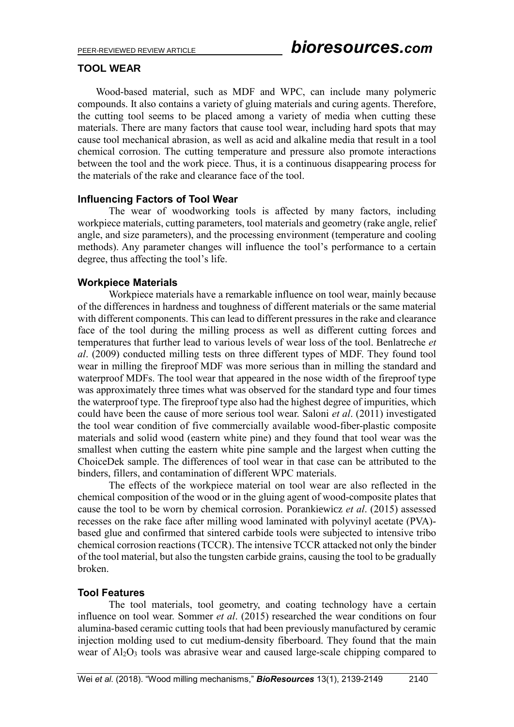### **TOOL WEAR**

Wood-based material, such as MDF and WPC, can include many polymeric compounds. It also contains a variety of gluing materials and curing agents. Therefore, the cutting tool seems to be placed among a variety of media when cutting these materials. There are many factors that cause tool wear, including hard spots that may cause tool mechanical abrasion, as well as acid and alkaline media that result in a tool chemical corrosion. The cutting temperature and pressure also promote interactions between the tool and the work piece. Thus, it is a continuous disappearing process for the materials of the rake and clearance face of the tool.

#### **Influencing Factors of Tool Wear**

The wear of woodworking tools is affected by many factors, including workpiece materials, cutting parameters, tool materials and geometry (rake angle, relief angle, and size parameters), and the processing environment (temperature and cooling methods). Any parameter changes will influence the tool's performance to a certain degree, thus affecting the tool's life.

### **Workpiece Materials**

Workpiece materials have a remarkable influence on tool wear, mainly because of the differences in hardness and toughness of different materials or the same material with different components. This can lead to different pressures in the rake and clearance face of the tool during the milling process as well as different cutting forces and temperatures that further lead to various levels of wear loss of the tool. Benlatreche *et al*. (2009) conducted milling tests on three different types of MDF. They found tool wear in milling the fireproof MDF was more serious than in milling the standard and waterproof MDFs. The tool wear that appeared in the nose width of the fireproof type was approximately three times what was observed for the standard type and four times the waterproof type. The fireproof type also had the highest degree of impurities, which could have been the cause of more serious tool wear. Saloni *et al*. (2011) investigated the tool wear condition of five commercially available wood-fiber-plastic composite materials and solid wood (eastern white pine) and they found that tool wear was the smallest when cutting the eastern white pine sample and the largest when cutting the ChoiceDek sample. The differences of tool wear in that case can be attributed to the binders, fillers, and contamination of different WPC materials.

The effects of the workpiece material on tool wear are also reflected in the chemical composition of the wood or in the gluing agent of wood-composite plates that cause the tool to be worn by chemical corrosion. Porankiewicz *et al*. (2015) assessed recesses on the rake face after milling wood laminated with polyvinyl acetate (PVA) based glue and confirmed that sintered carbide tools were subjected to intensive tribo chemical corrosion reactions (TCCR). The intensive TCCR attacked not only the binder of the tool material, but also the tungsten carbide grains, causing the tool to be gradually broken.

### **Tool Features**

The tool materials, tool geometry, and coating technology have a certain influence on tool wear. Sommer *et al*. (2015) researched the wear conditions on four alumina-based ceramic cutting tools that had been previously manufactured by ceramic injection molding used to cut medium-density fiberboard. They found that the main wear of  $A<sub>12</sub>O<sub>3</sub>$  tools was abrasive wear and caused large-scale chipping compared to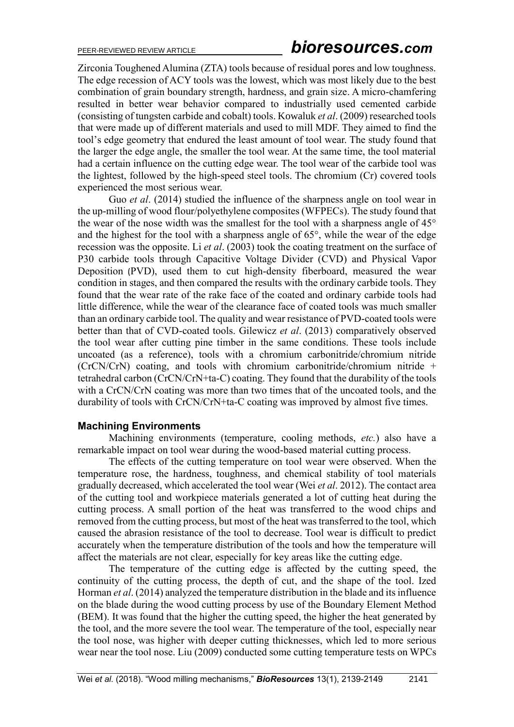Zirconia Toughened Alumina (ZTA) tools because of residual pores and low toughness. The edge recession of ACY tools was the lowest, which was most likely due to the best combination of grain boundary strength, hardness, and grain size. A micro-chamfering resulted in better wear behavior compared to industrially used cemented carbide (consisting of tungsten carbide and cobalt) tools. Kowaluk *et al*. (2009) researched tools that were made up of different materials and used to mill MDF. They aimed to find the tool's edge geometry that endured the least amount of tool wear. The study found that the larger the edge angle, the smaller the tool wear. At the same time, the tool material had a certain influence on the cutting edge wear. The tool wear of the carbide tool was the lightest, followed by the high-speed steel tools. The chromium (Cr) covered tools experienced the most serious wear.

Guo *et al*. (2014) studied the influence of the sharpness angle on tool wear in the up-milling of wood flour/polyethylene composites (WFPECs). The study found that the wear of the nose width was the smallest for the tool with a sharpness angle of 45° and the highest for the tool with a sharpness angle of 65°, while the wear of the edge recession was the opposite. Li *et al*. (2003) took the coating treatment on the surface of P30 carbide tools through Capacitive Voltage Divider (CVD) and Physical Vapor Deposition (PVD), used them to cut high-density fiberboard, measured the wear condition in stages, and then compared the results with the ordinary carbide tools. They found that the wear rate of the rake face of the coated and ordinary carbide tools had little difference, while the wear of the clearance face of coated tools was much smaller than an ordinary carbide tool. The quality and wear resistance of PVD-coated tools were better than that of CVD-coated tools. Gilewicz *et al*. (2013) comparatively observed the tool wear after cutting pine timber in the same conditions. These tools include uncoated (as a reference), tools with a chromium carbonitride/chromium nitride (CrCN/CrN) coating, and tools with chromium carbonitride/chromium nitride + tetrahedral carbon (CrCN/CrN+ta-C) coating. They found that the durability of the tools with a CrCN/CrN coating was more than two times that of the uncoated tools, and the durability of tools with CrCN/CrN+ta-C coating was improved by almost five times.

#### **Machining Environments**

Machining environments (temperature, cooling methods, *etc.*) also have a remarkable impact on tool wear during the wood-based material cutting process.

The effects of the cutting temperature on tool wear were observed. When the temperature rose, the hardness, toughness, and chemical stability of tool materials gradually decreased, which accelerated the tool wear (Wei *et al*. 2012). The contact area of the cutting tool and workpiece materials generated a lot of cutting heat during the cutting process. A small portion of the heat was transferred to the wood chips and removed from the cutting process, but most of the heat was transferred to the tool, which caused the abrasion resistance of the tool to decrease. Tool wear is difficult to predict accurately when the temperature distribution of the tools and how the temperature will affect the materials are not clear, especially for key areas like the cutting edge.

The temperature of the cutting edge is affected by the cutting speed, the continuity of the cutting process, the depth of cut, and the shape of the tool. Ized Horman *et al*. (2014) analyzed the temperature distribution in the blade and its influence on the blade during the wood cutting process by use of the Boundary Element Method (BEM). It was found that the higher the cutting speed, the higher the heat generated by the tool, and the more severe the tool wear. The temperature of the tool, especially near the tool nose, was higher with deeper cutting thicknesses, which led to more serious wear near the tool nose. Liu (2009) conducted some cutting temperature tests on WPCs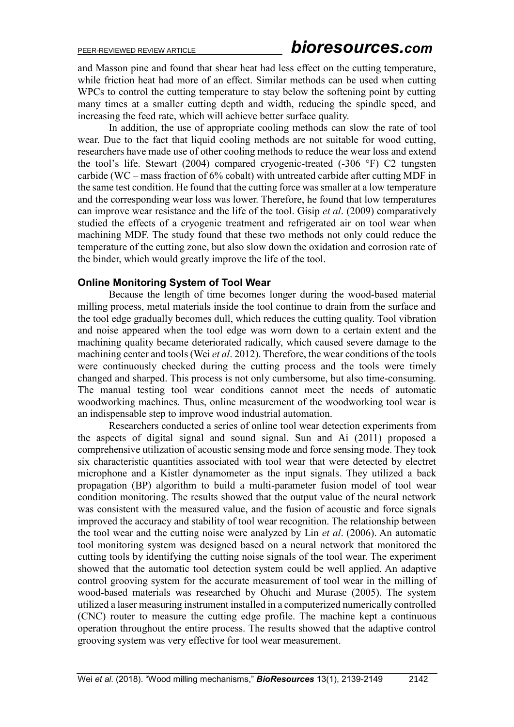and Masson pine and found that shear heat had less effect on the cutting temperature, while friction heat had more of an effect. Similar methods can be used when cutting WPCs to control the cutting temperature to stay below the softening point by cutting many times at a smaller cutting depth and width, reducing the spindle speed, and increasing the feed rate, which will achieve better surface quality.

In addition, the use of appropriate cooling methods can slow the rate of tool wear. Due to the fact that liquid cooling methods are not suitable for wood cutting, researchers have made use of other cooling methods to reduce the wear loss and extend the tool's life. Stewart (2004) compared cryogenic-treated (-306 °F) C2 tungsten carbide (WC – mass fraction of 6% cobalt) with untreated carbide after cutting MDF in the same test condition. He found that the cutting force was smaller at a low temperature and the corresponding wear loss was lower. Therefore, he found that low temperatures can improve wear resistance and the life of the tool. Gisip *et al*. (2009) comparatively studied the effects of a cryogenic treatment and refrigerated air on tool wear when machining MDF. The study found that these two methods not only could reduce the temperature of the cutting zone, but also slow down the oxidation and corrosion rate of the binder, which would greatly improve the life of the tool.

### **Online Monitoring System of Tool Wear**

Because the length of time becomes longer during the wood-based material milling process, metal materials inside the tool continue to drain from the surface and the tool edge gradually becomes dull, which reduces the cutting quality. Tool vibration and noise appeared when the tool edge was worn down to a certain extent and the machining quality became deteriorated radically, which caused severe damage to the machining center and tools (Wei *et al*. 2012). Therefore, the wear conditions of the tools were continuously checked during the cutting process and the tools were timely changed and sharped. This process is not only cumbersome, but also time-consuming. The manual testing tool wear conditions cannot meet the needs of automatic woodworking machines. Thus, online measurement of the woodworking tool wear is an indispensable step to improve wood industrial automation.

Researchers conducted a series of online tool wear detection experiments from the aspects of digital signal and sound signal. Sun and Ai (2011) proposed a comprehensive utilization of acoustic sensing mode and force sensing mode. They took six characteristic quantities associated with tool wear that were detected by electret microphone and a Kistler dynamometer as the input signals. They utilized a back propagation (BP) algorithm to build a multi-parameter fusion model of tool wear condition monitoring. The results showed that the output value of the neural network was consistent with the measured value, and the fusion of acoustic and force signals improved the accuracy and stability of tool wear recognition. The relationship between the tool wear and the cutting noise were analyzed by Lin *et al*. (2006). An automatic tool monitoring system was designed based on a neural network that monitored the cutting tools by identifying the cutting noise signals of the tool wear. The experiment showed that the automatic tool detection system could be well applied. An adaptive control grooving system for the accurate measurement of tool wear in the milling of wood-based materials was researched by Ohuchi and Murase (2005). The system utilized a laser measuring instrument installed in a computerized numerically controlled (CNC) router to measure the cutting edge profile. The machine kept a continuous operation throughout the entire process. The results showed that the adaptive control grooving system was very effective for tool wear measurement.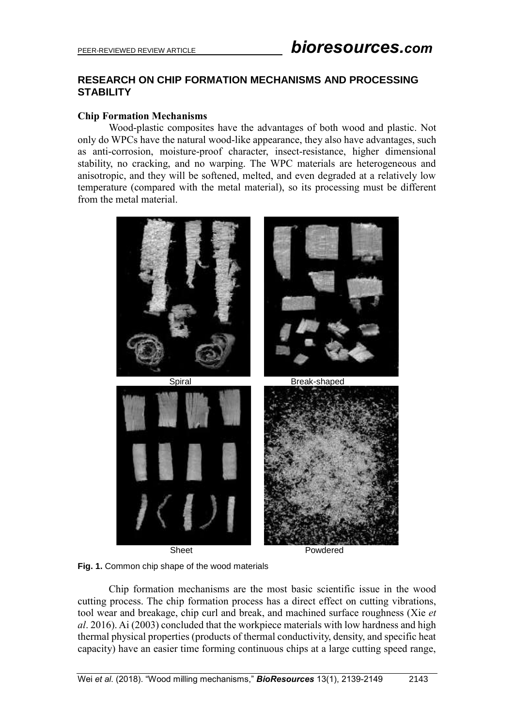### **RESEARCH ON CHIP FORMATION MECHANISMS AND PROCESSING STABILITY**

#### **Chip Formation Mechanisms**

Wood-plastic composites have the advantages of both wood and plastic. Not only do WPCs have the natural wood-like appearance, they also have advantages, such as anti-corrosion, moisture-proof character, insect-resistance, higher dimensional stability, no cracking, and no warping. The WPC materials are heterogeneous and anisotropic, and they will be softened, melted, and even degraded at a relatively low temperature (compared with the metal material), so its processing must be different from the metal material.



**Fig. 1.** Common chip shape of the wood materials

Chip formation mechanisms are the most basic scientific issue in the wood cutting process. The chip formation process has a direct effect on cutting vibrations, tool wear and breakage, chip curl and break, and machined surface roughness (Xie *et al*. 2016). Ai (2003) concluded that the workpiece materials with low hardness and high thermal physical properties (products of thermal conductivity, density, and specific heat capacity) have an easier time forming continuous chips at a large cutting speed range,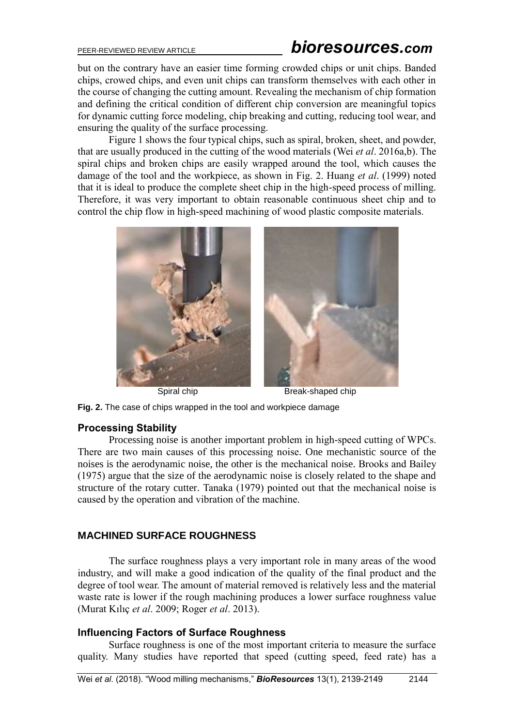but on the contrary have an easier time forming crowded chips or unit chips. Banded chips, crowed chips, and even unit chips can transform themselves with each other in the course of changing the cutting amount. Revealing the mechanism of chip formation and defining the critical condition of different chip conversion are meaningful topics for dynamic cutting force modeling, chip breaking and cutting, reducing tool wear, and ensuring the quality of the surface processing.

Figure 1 shows the four typical chips, such as spiral, broken, sheet, and powder, that are usually produced in the cutting of the wood materials (Wei *et al*. 2016a,b). The spiral chips and broken chips are easily wrapped around the tool, which causes the damage of the tool and the workpiece, as shown in Fig. 2. Huang *et al*. (1999) noted that it is ideal to produce the complete sheet chip in the high-speed process of milling. Therefore, it was very important to obtain reasonable continuous sheet chip and to control the chip flow in high-speed machining of wood plastic composite materials.



Spiral chip Break-shaped chip

**Fig. 2.** The case of chips wrapped in the tool and workpiece damage

### **Processing Stability**

Processing noise is another important problem in high-speed cutting of WPCs. There are two main causes of this processing noise. One mechanistic source of the noises is the aerodynamic noise, the other is the mechanical noise. Brooks and Bailey (1975) argue that the size of the aerodynamic noise is closely related to the shape and structure of the rotary cutter. Tanaka (1979) pointed out that the mechanical noise is caused by the operation and vibration of the machine.

## **MACHINED SURFACE ROUGHNESS**

The surface roughness plays a very important role in many areas of the wood industry, and will make a good indication of the quality of the final product and the degree of tool wear. The amount of material removed is relatively less and the material waste rate is lower if the rough machining produces a lower surface roughness value (Murat Kılıç *et al*. 2009; Roger *et al*. 2013).

### **Influencing Factors of Surface Roughness**

Surface roughness is one of the most important criteria to measure the surface quality. Many studies have reported that speed (cutting speed, feed rate) has a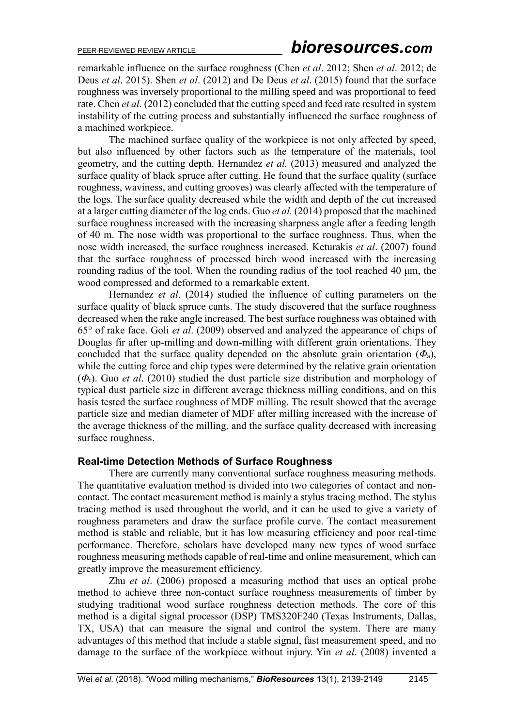remarkable influence on the surface roughness (Chen *et al*. 2012; Shen *et al*. 2012; de Deus *et al*. 2015). Shen *et al*. (2012) and De Deus *et al*. (2015) found that the surface roughness was inversely proportional to the milling speed and was proportional to feed rate. Chen *et al*. (2012) concluded that the cutting speed and feed rate resulted in system instability of the cutting process and substantially influenced the surface roughness of a machined workpiece.

The machined surface quality of the workpiece is not only affected by speed, but also influenced by other factors such as the temperature of the materials, tool geometry, and the cutting depth. Hernandez *et al.* (2013) measured and analyzed the surface quality of black spruce after cutting. He found that the surface quality (surface roughness, waviness, and cutting grooves) was clearly affected with the temperature of the logs. The surface quality decreased while the width and depth of the cut increased at a larger cutting diameter of the log ends. Guo *et al.* (2014) proposed that the machined surface roughness increased with the increasing sharpness angle after a feeding length of 40 m. The nose width was proportional to the surface roughness. Thus, when the nose width increased, the surface roughness increased. Keturakis *et al*. (2007) found that the surface roughness of processed birch wood increased with the increasing rounding radius of the tool. When the rounding radius of the tool reached 40 μm, the wood compressed and deformed to a remarkable extent.

Hernandez *et al*. (2014) studied the influence of cutting parameters on the surface quality of black spruce cants. The study discovered that the surface roughness decreased when the rake angle increased. The best surface roughness was obtained with 65° of rake face. Goli *et al*. (2009) observed and analyzed the appearance of chips of Douglas fir after up-milling and down-milling with different grain orientations. They concluded that the surface quality depended on the absolute grain orientation  $(\Phi_a)$ , while the cutting force and chip types were determined by the relative grain orientation (*Φ*r). Guo *et al*. (2010) studied the dust particle size distribution and morphology of typical dust particle size in different average thickness milling conditions, and on this basis tested the surface roughness of MDF milling. The result showed that the average particle size and median diameter of MDF after milling increased with the increase of the average thickness of the milling, and the surface quality decreased with increasing surface roughness.

### **Real-time Detection Methods of Surface Roughness**

There are currently many conventional surface roughness measuring methods. The quantitative evaluation method is divided into two categories of contact and noncontact. The contact measurement method is mainly a stylus tracing method. The stylus tracing method is used throughout the world, and it can be used to give a variety of roughness parameters and draw the surface profile curve. The contact measurement method is stable and reliable, but it has low measuring efficiency and poor real-time performance. Therefore, scholars have developed many new types of wood surface roughness measuring methods capable of real-time and online measurement, which can greatly improve the measurement efficiency.

Zhu *et al*. (2006) proposed a measuring method that uses an optical probe method to achieve three non-contact surface roughness measurements of timber by studying traditional wood surface roughness detection methods. The core of this method is a digital signal processor (DSP) TMS320F240 (Texas Instruments, Dallas, TX, USA) that can measure the signal and control the system. There are many advantages of this method that include a stable signal, fast measurement speed, and no damage to the surface of the workpiece without injury. Yin *et al*. (2008) invented a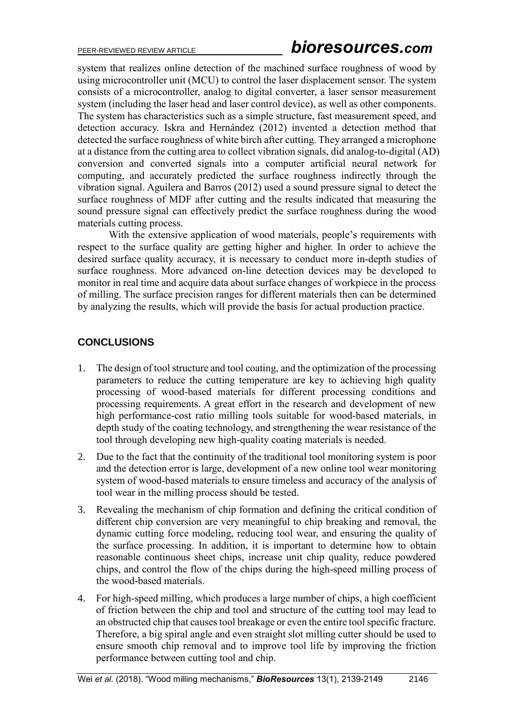system that realizes online detection of the machined surface roughness of wood by using microcontroller unit (MCU) to control the laser displacement sensor. The system consists of a microcontroller, analog to digital converter, a laser sensor measurement system (including the laser head and laser control device), as well as other components. The system has characteristics such as a simple structure, fast measurement speed, and detection accuracy. Iskra and Hernández (2012) invented a detection method that detected the surface roughness of white birch after cutting. They arranged a microphone at a distance from the cutting area to collect vibration signals, did analog-to-digital (AD) conversion and converted signals into a computer artificial neural network for computing, and accurately predicted the surface roughness indirectly through the vibration signal. Aguilera and Barros (2012) used a sound pressure signal to detect the surface roughness of MDF after cutting and the results indicated that measuring the sound pressure signal can effectively predict the surface roughness during the wood materials cutting process.

With the extensive application of wood materials, people's requirements with respect to the surface quality are getting higher and higher. In order to achieve the desired surface quality accuracy, it is necessary to conduct more in-depth studies of surface roughness. More advanced on-line detection devices may be developed to monitor in real time and acquire data about surface changes of workpiece in the process of milling. The surface precision ranges for different materials then can be determined by analyzing the results, which will provide the basis for actual production practice.

## **CONCLUSIONS**

- 1. The design of tool structure and tool coating, and the optimization of the processing parameters to reduce the cutting temperature are key to achieving high quality processing of wood-based materials for different processing conditions and processing requirements. A great effort in the research and development of new high performance-cost ratio milling tools suitable for wood-based materials, in depth study of the coating technology, and strengthening the wear resistance of the tool through developing new high-quality coating materials is needed.
- 2. Due to the fact that the continuity of the traditional tool monitoring system is poor and the detection error is large, development of a new online tool wear monitoring system of wood-based materials to ensure timeless and accuracy of the analysis of tool wear in the milling process should be tested.
- 3. Revealing the mechanism of chip formation and defining the critical condition of different chip conversion are very meaningful to chip breaking and removal, the dynamic cutting force modeling, reducing tool wear, and ensuring the quality of the surface processing. In addition, it is important to determine how to obtain reasonable continuous sheet chips, increase unit chip quality, reduce powdered chips, and control the flow of the chips during the high-speed milling process of the wood-based materials.
- 4. For high-speed milling, which produces a large number of chips, a high coefficient of friction between the chip and tool and structure of the cutting tool may lead to an obstructed chip that causes tool breakage or even the entire tool specific fracture. Therefore, a big spiral angle and even straight slot milling cutter should be used to ensure smooth chip removal and to improve tool life by improving the friction performance between cutting tool and chip.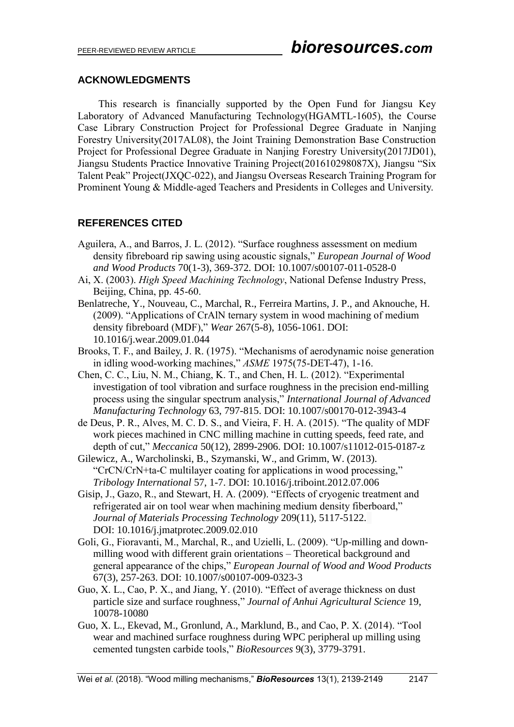### **ACKNOWLEDGMENTS**

This research is financially supported by the Open Fund for Jiangsu Key Laboratory of Advanced Manufacturing Technology(HGAMTL-1605), the Course Case Library Construction Project for Professional Degree Graduate in Nanjing Forestry University(2017AL08), the Joint Training Demonstration Base Construction Project for Professional Degree Graduate in Nanjing Forestry University(2017JD01), Jiangsu Students Practice Innovative Training Project(201610298087X), Jiangsu "Six Talent Peak" Project(JXQC-022), and Jiangsu Overseas Research Training Program for Prominent Young & Middle-aged Teachers and Presidents in Colleges and University.

## **REFERENCES CITED**

- Aguilera, A., and Barros, J. L. (2012). "Surface roughness assessment on medium density fibreboard rip sawing using acoustic signals," *European Journal of Wood and Wood Products* 70(1-3), 369-372*.* DOI: 10.1007/s00107-011-0528-0
- Ai, X. (2003). *High Speed Machining Technology*, National Defense Industry Press, Beijing, China, pp. 45-60.
- Benlatreche, Y., Nouveau, C., Marchal, R., Ferreira Martins, J. P., and Aknouche, H. (2009). "Applications of CrAlN ternary system in wood machining of medium density fibreboard (MDF)," *Wear* 267(5-8), 1056-1061. DOI: 10.1016/j.wear.2009.01.044
- Brooks, T. F., and Bailey, J. R. (1975). "Mechanisms of aerodynamic noise generation in idling wood-working machines," *ASME* 1975(75-DET-47), 1-16.
- Chen, C. C., Liu, N. M., Chiang, K. T., and Chen, H. L. (2012). "Experimental investigation of tool vibration and surface roughness in the precision end-milling process using the singular spectrum analysis," *International Journal of Advanced Manufacturing Technology* 63, 797-815. DOI: 10.1007/s00170-012-3943-4
- de Deus, P. R., Alves, M. C. D. S., and Vieira, F. H. A. (2015). "The quality of MDF work pieces machined in CNC milling machine in cutting speeds, feed rate, and depth of cut," *Meccanica* 50(12), 2899-2906. DOI: 10.1007/s11012-015-0187-z
- Gilewicz, A., Warcholinski, B., Szymanski, W., and Grimm, W. (2013). "CrCN/CrN+ta-C multilayer coating for applications in wood processing," *Tribology International* 57, 1-7. DOI: 10.1016/j.triboint.2012.07.006
- Gisip, J., Gazo, R., and Stewart, H. A. (2009). "Effects of cryogenic treatment and refrigerated air on tool wear when machining medium density fiberboard," *Journal of Materials Processing Technology* 209(11), 5117-5122. DOI: 10.1016/j.jmatprotec.2009.02.010
- Goli, G., Fioravanti, M., Marchal, R., and Uzielli, L. (2009). "Up-milling and downmilling wood with different grain orientations – Theoretical background and general appearance of the chips," *European Journal of Wood and Wood Products*  67(3), 257-263. DOI: 10.1007/s00107-009-0323-3
- Guo, X. L., Cao, P. X., and Jiang, Y. (2010). "Effect of average thickness on dust particle size and surface roughness," *Journal of Anhui Agricultural Science* 19, 10078-10080
- Guo, X. L., Ekevad, M., Gronlund, A., Marklund, B., and Cao, P. X. (2014). "Tool wear and machined surface roughness during WPC peripheral up milling using cemented tungsten carbide tools," *BioResources* 9(3), 3779-3791.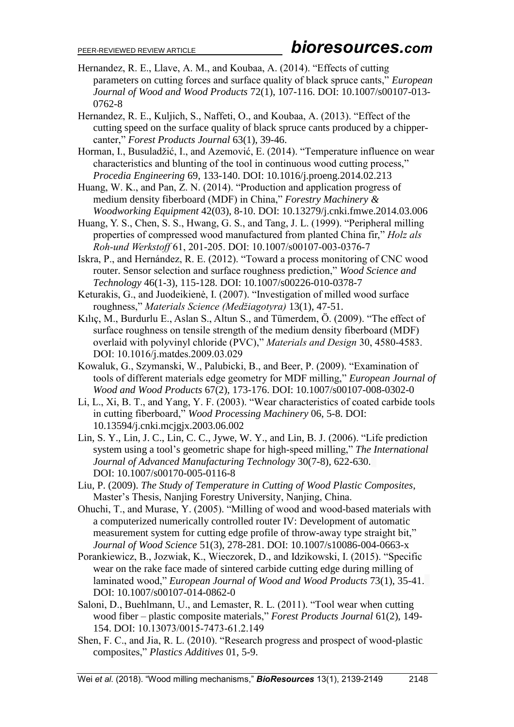- Hernandez, R. E., Llave, A. M., and Koubaa, A. (2014). "Effects of cutting parameters on cutting forces and surface quality of black spruce cants," *European Journal of Wood and Wood Products* 72(1), 107-116. DOI: 10.1007/s00107-013- 0762-8
- Hernandez, R. E., Kuljich, S., Naffeti, O., and Koubaa, A. (2013). "Effect of the cutting speed on the surface quality of black spruce cants produced by a chippercanter," *Forest Products Journal* 63(1), 39-46.
- Horman, I., Busuladžić, I., and Azemović, E. (2014). "Temperature influence on wear characteristics and blunting of the tool in continuous wood cutting process," *Procedia Engineering* 69, 133-140. DOI: 10.1016/j.proeng.2014.02.213
- Huang, W. K., and Pan, Z. N. (2014). "Production and application progress of medium density fiberboard (MDF) in China," *Forestry Machinery & Woodworking Equipment* 42(03), 8-10. DOI: 10.13279/j.cnki.fmwe.2014.03.006
- Huang, Y. S., Chen, S. S., Hwang, G. S., and Tang, J. L. (1999). "Peripheral milling properties of compressed wood manufactured from planted China fir," *Holz als Roh-und Werkstoff* 61, 201-205. DOI: 10.1007/s00107-003-0376-7
- Iskra, P., and Hernández, R. E. (2012). "Toward a process monitoring of CNC wood router. Sensor selection and surface roughness prediction," *Wood Science and Technology* 46(1-3), 115-128. DOI: 10.1007/s00226-010-0378-7
- Keturakis, G., and Juodeikienė, I. (2007). "Investigation of milled wood surface roughness," *Materials Science (Medžiagotyra)* 13(1), 47-51.
- Kılıç, M., Burdurlu E., Aslan S., Altun S., and Tümerdem, Ö. (2009). "The effect of surface roughness on tensile strength of the medium density fiberboard (MDF) overlaid with polyvinyl chloride (PVC)," *Materials and Design* 30, 4580-4583. DOI: 10.1016/j.matdes.2009.03.029
- Kowaluk, G., Szymanski, W., Palubicki, B., and Beer, P. (2009). "Examination of tools of different materials edge geometry for MDF milling," *European Journal of Wood and Wood Products* 67(2), 173-176. DOI: 10.1007/s00107-008-0302-0
- Li, L., Xi, B. T., and Yang, Y. F. (2003). "Wear characteristics of coated carbide tools in cutting fiberboard," *Wood Processing Machinery* 06, 5-8. DOI: 10.13594/j.cnki.mcjgjx.2003.06.002
- Lin, S. Y., Lin, J. C., Lin, C. C., Jywe, W. Y., and Lin, B. J. (2006). "Life prediction system using a tool's geometric shape for high-speed milling," *The International Journal of Advanced Manufacturing Technology* 30(7-8), 622-630. DOI: 10.1007/s00170-005-0116-8
- Liu, P. (2009). *The Study of Temperature in Cutting of Wood Plastic Composites*, Master's Thesis, Nanjing Forestry University, Nanjing, China.
- Ohuchi, T., and Murase, Y. (2005). "Milling of wood and wood-based materials with a computerized numerically controlled router IV: Development of automatic measurement system for cutting edge profile of throw-away type straight bit," *Journal of Wood Science* 51(3), 278-281. DOI: 10.1007/s10086-004-0663-x
- Porankiewicz, B., Jozwiak, K., Wieczorek, D., and Idzikowski, I. (2015). "Specific wear on the rake face made of sintered carbide cutting edge during milling of laminated wood," *European Journal of Wood and Wood Products* 73(1), 35-41. DOI: 10.1007/s00107-014-0862-0
- Saloni, D., Buehlmann, U., and Lemaster, R. L. (2011). "Tool wear when cutting wood fiber – plastic composite materials," *Forest Products Journal* 61(2), 149- 154. DOI: [10.13073/0015-7473-61.2.149](https://doi.org/10.13073/0015-7473-61.2.149)
- Shen, F. C., and Jia, R. L. (2010). "Research progress and prospect of wood-plastic composites," *Plastics Additives* 01, 5-9.